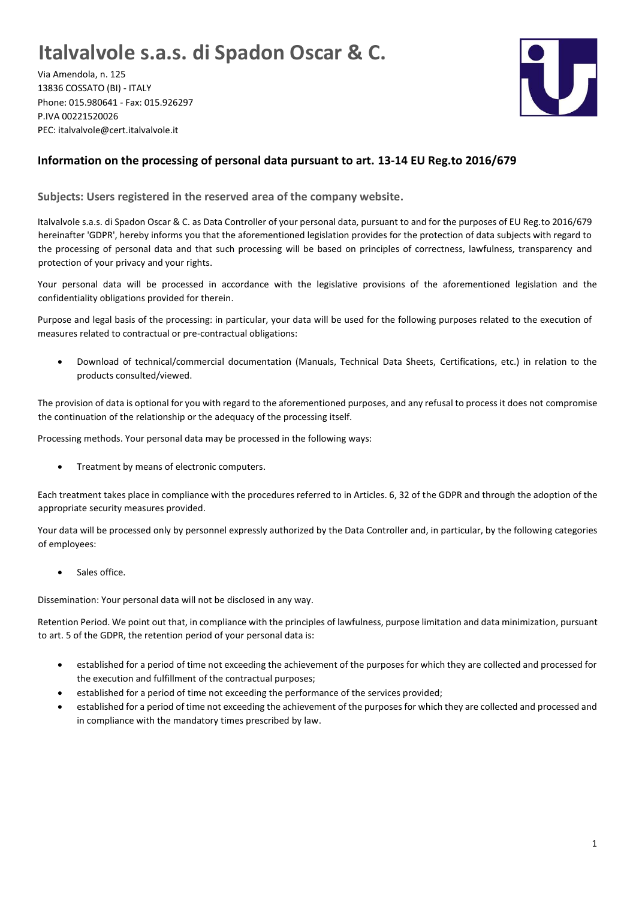## **Italvalvole s.a.s. di Spadon Oscar & C.**

Via Amendola, n. 125 13836 COSSATO (BI) - ITALY Phone: 015.980641 - Fax: 015.926297 P.IVA 00221520026 PEC: italvalvole@cert.italvalvole.it



## **Information on the processing of personal data pursuant to art. 13-14 EU Reg.to 2016/679**

**Subjects: Users registered in the reserved area of the company website.**

Italvalvole s.a.s. di Spadon Oscar & C. as Data Controller of your personal data, pursuant to and for the purposes of EU Reg.to 2016/679 hereinafter 'GDPR', hereby informs you that the aforementioned legislation provides for the protection of data subjects with regard to the processing of personal data and that such processing will be based on principles of correctness, lawfulness, transparency and protection of your privacy and your rights.

Your personal data will be processed in accordance with the legislative provisions of the aforementioned legislation and the confidentiality obligations provided for therein.

Purpose and legal basis of the processing: in particular, your data will be used for the following purposes related to the execution of measures related to contractual or pre-contractual obligations:

• Download of technical/commercial documentation (Manuals, Technical Data Sheets, Certifications, etc.) in relation to the products consulted/viewed.

The provision of data is optional for you with regard to the aforementioned purposes, and any refusal to process it does not compromise the continuation of the relationship or the adequacy of the processing itself.

Processing methods. Your personal data may be processed in the following ways:

• Treatment by means of electronic computers.

Each treatment takes place in compliance with the procedures referred to in Articles. 6, 32 of the GDPR and through the adoption of the appropriate security measures provided.

Your data will be processed only by personnel expressly authorized by the Data Controller and, in particular, by the following categories of employees:

• Sales office.

Dissemination: Your personal data will not be disclosed in any way.

Retention Period. We point out that, in compliance with the principles of lawfulness, purpose limitation and data minimization, pursuant to art. 5 of the GDPR, the retention period of your personal data is:

- established for a period of time not exceeding the achievement of the purposes for which they are collected and processed for the execution and fulfillment of the contractual purposes;
- established for a period of time not exceeding the performance of the services provided;
- established for a period of time not exceeding the achievement of the purposes for which they are collected and processed and in compliance with the mandatory times prescribed by law.